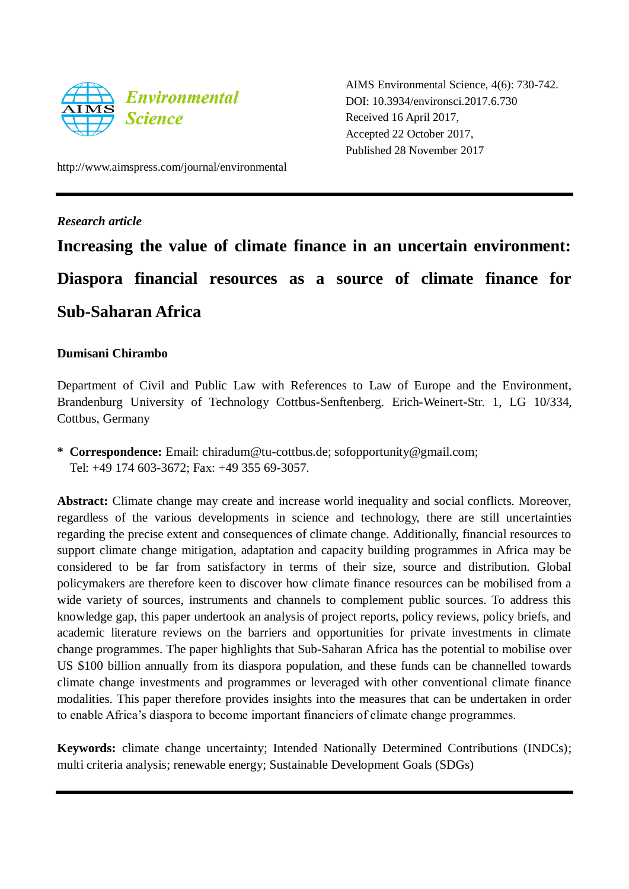

AIMS Environmental Science, 4(6): 730-742. DOI: 10.3934/environsci.2017.6.730 Received 16 April 2017, Accepted 22 October 2017, Published 28 November 2017

http://www.aimspress.com/journal/environmental

*Research article*

**Increasing the value of climate finance in an uncertain environment:** 

**Diaspora financial resources as a source of climate finance for** 

# **Sub-Saharan Africa**

# **Dumisani Chirambo**

Department of Civil and Public Law with References to Law of Europe and the Environment, Brandenburg University of Technology Cottbus-Senftenberg. Erich-Weinert-Str. 1, LG 10/334, Cottbus, Germany

**\* Correspondence:** Email: chiradum@tu-cottbus.de; sofopportunity@gmail.com; Tel: +49 174 603-3672; Fax: +49 355 69-3057.

**Abstract:** Climate change may create and increase world inequality and social conflicts. Moreover, regardless of the various developments in science and technology, there are still uncertainties regarding the precise extent and consequences of climate change. Additionally, financial resources to support climate change mitigation, adaptation and capacity building programmes in Africa may be considered to be far from satisfactory in terms of their size, source and distribution. Global policymakers are therefore keen to discover how climate finance resources can be mobilised from a wide variety of sources, instruments and channels to complement public sources. To address this knowledge gap, this paper undertook an analysis of project reports, policy reviews, policy briefs, and academic literature reviews on the barriers and opportunities for private investments in climate change programmes. The paper highlights that Sub-Saharan Africa has the potential to mobilise over US \$100 billion annually from its diaspora population, and these funds can be channelled towards climate change investments and programmes or leveraged with other conventional climate finance modalities. This paper therefore provides insights into the measures that can be undertaken in order to enable Africa's diaspora to become important financiers of climate change programmes.

**Keywords:** climate change uncertainty; Intended Nationally Determined Contributions (INDCs); multi criteria analysis; renewable energy; Sustainable Development Goals (SDGs)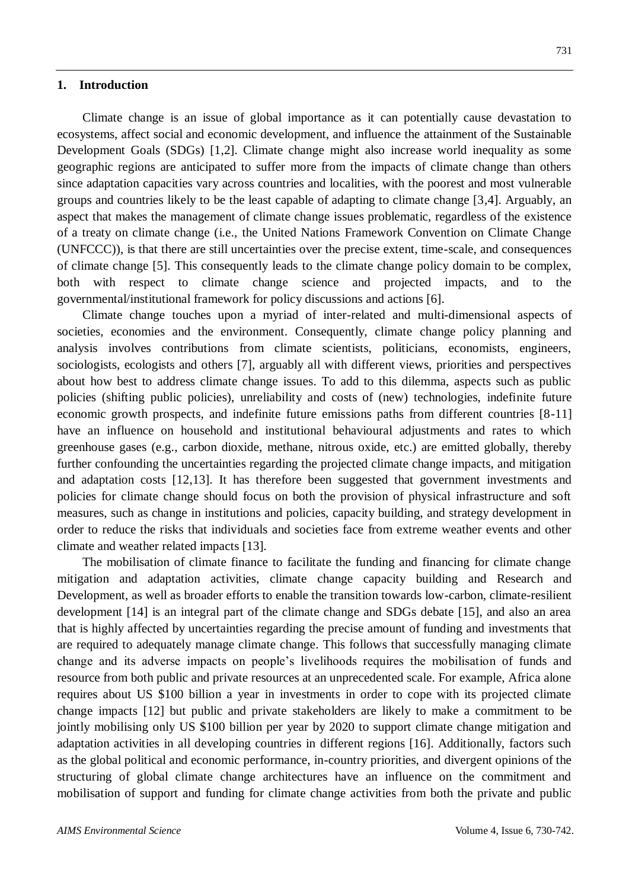#### **1. Introduction**

Climate change is an issue of global importance as it can potentially cause devastation to ecosystems, affect social and economic development, and influence the attainment of the Sustainable Development Goals (SDGs) [1,2]. Climate change might also increase world inequality as some geographic regions are anticipated to suffer more from the impacts of climate change than others since adaptation capacities vary across countries and localities, with the poorest and most vulnerable groups and countries likely to be the least capable of adapting to climate change [3,4]. Arguably, an aspect that makes the management of climate change issues problematic, regardless of the existence of a treaty on climate change (i.e., the United Nations Framework Convention on Climate Change (UNFCCC)), is that there are still uncertainties over the precise extent, time-scale, and consequences of climate change [5]. This consequently leads to the climate change policy domain to be complex, both with respect to climate change science and projected impacts, and to the governmental/institutional framework for policy discussions and actions [6].

Climate change touches upon a myriad of inter-related and multi-dimensional aspects of societies, economies and the environment. Consequently, climate change policy planning and analysis involves contributions from climate scientists, politicians, economists, engineers, sociologists, ecologists and others [7], arguably all with different views, priorities and perspectives about how best to address climate change issues. To add to this dilemma, aspects such as public policies (shifting public policies), unreliability and costs of (new) technologies, indefinite future economic growth prospects, and indefinite future emissions paths from different countries [8-11] have an influence on household and institutional behavioural adjustments and rates to which greenhouse gases (e.g., carbon dioxide, methane, nitrous oxide, etc.) are emitted globally, thereby further confounding the uncertainties regarding the projected climate change impacts, and mitigation and adaptation costs [12,13]. It has therefore been suggested that government investments and policies for climate change should focus on both the provision of physical infrastructure and soft measures, such as change in institutions and policies, capacity building, and strategy development in order to reduce the risks that individuals and societies face from extreme weather events and other climate and weather related impacts [13].

The mobilisation of climate finance to facilitate the funding and financing for climate change mitigation and adaptation activities, climate change capacity building and Research and Development, as well as broader efforts to enable the transition towards low-carbon, climate-resilient development [14] is an integral part of the climate change and SDGs debate [15], and also an area that is highly affected by uncertainties regarding the precise amount of funding and investments that are required to adequately manage climate change. This follows that successfully managing climate change and its adverse impacts on people's livelihoods requires the mobilisation of funds and resource from both public and private resources at an unprecedented scale. For example, Africa alone requires about US \$100 billion a year in investments in order to cope with its projected climate change impacts [12] but public and private stakeholders are likely to make a commitment to be jointly mobilising only US \$100 billion per year by 2020 to support climate change mitigation and adaptation activities in all developing countries in different regions [16]. Additionally, factors such as the global political and economic performance, in-country priorities, and divergent opinions of the structuring of global climate change architectures have an influence on the commitment and mobilisation of support and funding for climate change activities from both the private and public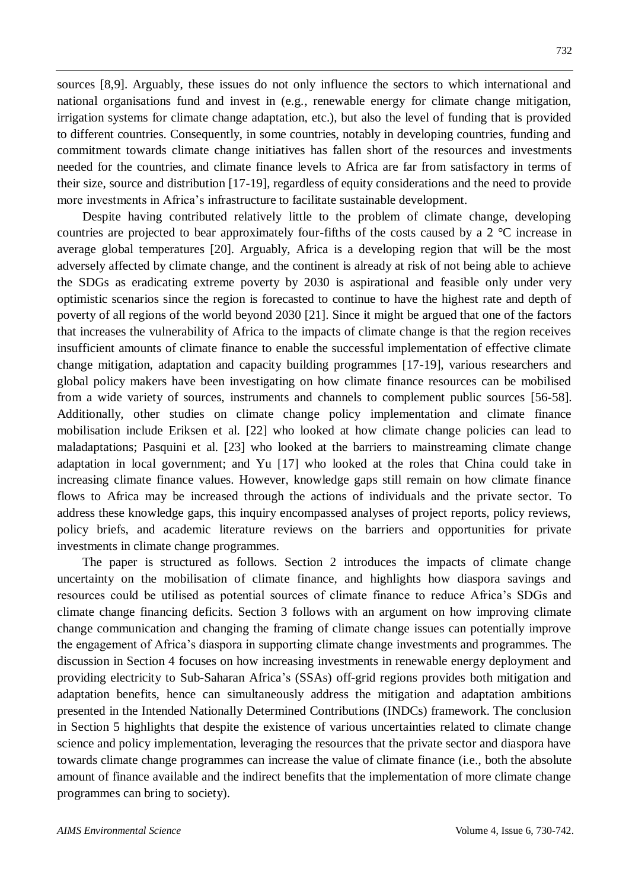sources [8,9]. Arguably, these issues do not only influence the sectors to which international and national organisations fund and invest in (e.g., renewable energy for climate change mitigation, irrigation systems for climate change adaptation, etc.), but also the level of funding that is provided to different countries. Consequently, in some countries, notably in developing countries, funding and commitment towards climate change initiatives has fallen short of the resources and investments needed for the countries, and climate finance levels to Africa are far from satisfactory in terms of their size, source and distribution [17-19], regardless of equity considerations and the need to provide more investments in Africa's infrastructure to facilitate sustainable development.

Despite having contributed relatively little to the problem of climate change, developing countries are projected to bear approximately four-fifths of the costs caused by a 2 °C increase in average global temperatures [20]. Arguably, Africa is a developing region that will be the most adversely affected by climate change, and the continent is already at risk of not being able to achieve the SDGs as eradicating extreme poverty by 2030 is aspirational and feasible only under very optimistic scenarios since the region is forecasted to continue to have the highest rate and depth of poverty of all regions of the world beyond 2030 [21]. Since it might be argued that one of the factors that increases the vulnerability of Africa to the impacts of climate change is that the region receives insufficient amounts of climate finance to enable the successful implementation of effective climate change mitigation, adaptation and capacity building programmes [17-19], various researchers and global policy makers have been investigating on how climate finance resources can be mobilised from a wide variety of sources, instruments and channels to complement public sources [56-58]. Additionally, other studies on climate change policy implementation and climate finance mobilisation include Eriksen et al. [22] who looked at how climate change policies can lead to maladaptations; Pasquini et al. [23] who looked at the barriers to mainstreaming climate change adaptation in local government; and Yu [17] who looked at the roles that China could take in increasing climate finance values. However, knowledge gaps still remain on how climate finance flows to Africa may be increased through the actions of individuals and the private sector. To address these knowledge gaps, this inquiry encompassed analyses of project reports, policy reviews, policy briefs, and academic literature reviews on the barriers and opportunities for private investments in climate change programmes.

The paper is structured as follows. Section 2 introduces the impacts of climate change uncertainty on the mobilisation of climate finance, and highlights how diaspora savings and resources could be utilised as potential sources of climate finance to reduce Africa's SDGs and climate change financing deficits. Section 3 follows with an argument on how improving climate change communication and changing the framing of climate change issues can potentially improve the engagement of Africa's diaspora in supporting climate change investments and programmes. The discussion in Section 4 focuses on how increasing investments in renewable energy deployment and providing electricity to Sub-Saharan Africa's (SSAs) off-grid regions provides both mitigation and adaptation benefits, hence can simultaneously address the mitigation and adaptation ambitions presented in the Intended Nationally Determined Contributions (INDCs) framework. The conclusion in Section 5 highlights that despite the existence of various uncertainties related to climate change science and policy implementation, leveraging the resources that the private sector and diaspora have towards climate change programmes can increase the value of climate finance (i.e., both the absolute amount of finance available and the indirect benefits that the implementation of more climate change programmes can bring to society).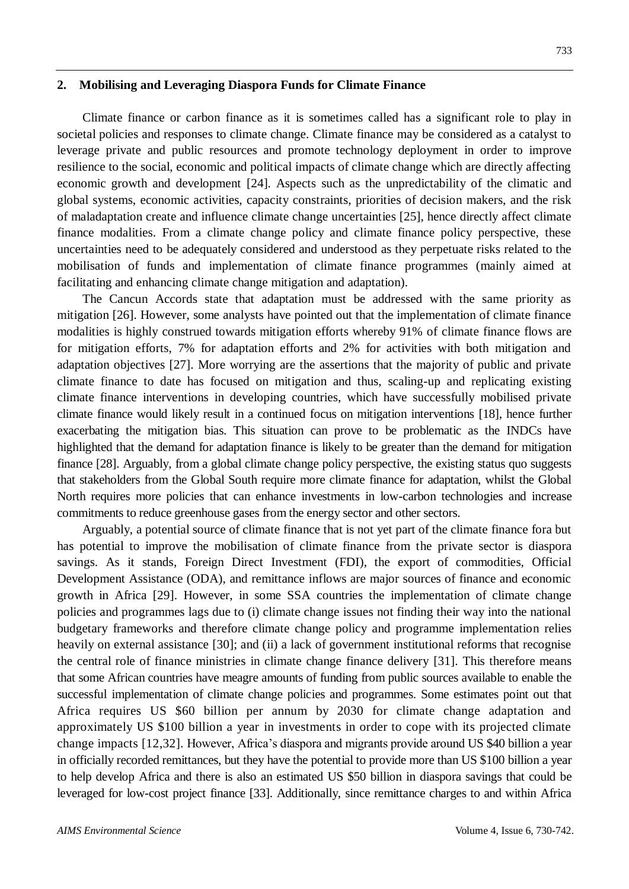#### **2. Mobilising and Leveraging Diaspora Funds for Climate Finance**

Climate finance or carbon finance as it is sometimes called has a significant role to play in societal policies and responses to climate change. Climate finance may be considered as a catalyst to leverage private and public resources and promote technology deployment in order to improve resilience to the social, economic and political impacts of climate change which are directly affecting economic growth and development [24]. Aspects such as the unpredictability of the climatic and global systems, economic activities, capacity constraints, priorities of decision makers, and the risk of maladaptation create and influence climate change uncertainties [25], hence directly affect climate finance modalities. From a climate change policy and climate finance policy perspective, these uncertainties need to be adequately considered and understood as they perpetuate risks related to the mobilisation of funds and implementation of climate finance programmes (mainly aimed at facilitating and enhancing climate change mitigation and adaptation).

The Cancun Accords state that adaptation must be addressed with the same priority as mitigation [26]. However, some analysts have pointed out that the implementation of climate finance modalities is highly construed towards mitigation efforts whereby 91% of climate finance flows are for mitigation efforts, 7% for adaptation efforts and 2% for activities with both mitigation and adaptation objectives [27]. More worrying are the assertions that the majority of public and private climate finance to date has focused on mitigation and thus, scaling-up and replicating existing climate finance interventions in developing countries, which have successfully mobilised private climate finance would likely result in a continued focus on mitigation interventions [18], hence further exacerbating the mitigation bias. This situation can prove to be problematic as the INDCs have highlighted that the demand for adaptation finance is likely to be greater than the demand for mitigation finance [28]. Arguably, from a global climate change policy perspective, the existing status quo suggests that stakeholders from the Global South require more climate finance for adaptation, whilst the Global North requires more policies that can enhance investments in low-carbon technologies and increase commitments to reduce greenhouse gases from the energy sector and other sectors.

Arguably, a potential source of climate finance that is not yet part of the climate finance fora but has potential to improve the mobilisation of climate finance from the private sector is diaspora savings. As it stands, Foreign Direct Investment (FDI), the export of commodities, Official Development Assistance (ODA), and remittance inflows are major sources of finance and economic growth in Africa [29]. However, in some SSA countries the implementation of climate change policies and programmes lags due to (i) climate change issues not finding their way into the national budgetary frameworks and therefore climate change policy and programme implementation relies heavily on external assistance [30]; and (ii) a lack of government institutional reforms that recognise the central role of finance ministries in climate change finance delivery [31]. This therefore means that some African countries have meagre amounts of funding from public sources available to enable the successful implementation of climate change policies and programmes. Some estimates point out that Africa requires US \$60 billion per annum by 2030 for climate change adaptation and approximately US \$100 billion a year in investments in order to cope with its projected climate change impacts [12,32]. However, Africa's diaspora and migrants provide around US \$40 billion a year in officially recorded remittances, but they have the potential to provide more than US \$100 billion a year to help develop Africa and there is also an estimated US \$50 billion in diaspora savings that could be leveraged for low-cost project finance [33]. Additionally, since remittance charges to and within Africa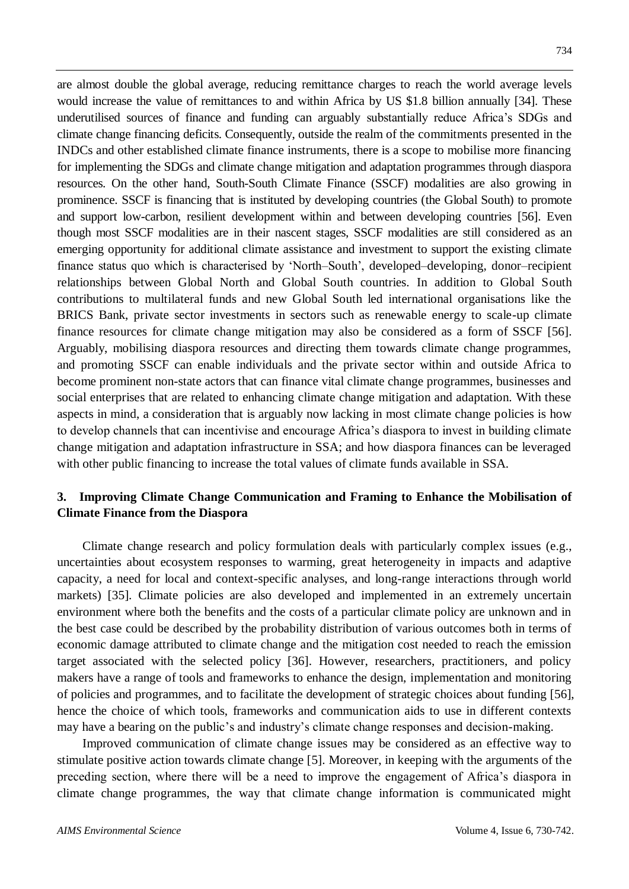are almost double the global average, reducing remittance charges to reach the world average levels would increase the value of remittances to and within Africa by US \$1.8 billion annually [34]. These underutilised sources of finance and funding can arguably substantially reduce Africa's SDGs and climate change financing deficits. Consequently, outside the realm of the commitments presented in the INDCs and other established climate finance instruments, there is a scope to mobilise more financing for implementing the SDGs and climate change mitigation and adaptation programmes through diaspora resources. On the other hand, South-South Climate Finance (SSCF) modalities are also growing in prominence. SSCF is financing that is instituted by developing countries (the Global South) to promote and support low-carbon, resilient development within and between developing countries [56]. Even though most SSCF modalities are in their nascent stages, SSCF modalities are still considered as an emerging opportunity for additional climate assistance and investment to support the existing climate finance status quo which is characterised by 'North–South', developed–developing, donor–recipient relationships between Global North and Global South countries. In addition to Global South contributions to multilateral funds and new Global South led international organisations like the BRICS Bank, private sector investments in sectors such as renewable energy to scale-up climate finance resources for climate change mitigation may also be considered as a form of SSCF [56]. Arguably, mobilising diaspora resources and directing them towards climate change programmes, and promoting SSCF can enable individuals and the private sector within and outside Africa to become prominent non-state actors that can finance vital climate change programmes, businesses and social enterprises that are related to enhancing climate change mitigation and adaptation. With these aspects in mind, a consideration that is arguably now lacking in most climate change policies is how to develop channels that can incentivise and encourage Africa's diaspora to invest in building climate change mitigation and adaptation infrastructure in SSA; and how diaspora finances can be leveraged with other public financing to increase the total values of climate funds available in SSA.

## **3. Improving Climate Change Communication and Framing to Enhance the Mobilisation of Climate Finance from the Diaspora**

Climate change research and policy formulation deals with particularly complex issues (e.g., uncertainties about ecosystem responses to warming, great heterogeneity in impacts and adaptive capacity, a need for local and context-specific analyses, and long-range interactions through world markets) [35]. Climate policies are also developed and implemented in an extremely uncertain environment where both the benefits and the costs of a particular climate policy are unknown and in the best case could be described by the probability distribution of various outcomes both in terms of economic damage attributed to climate change and the mitigation cost needed to reach the emission target associated with the selected policy [36]. However, researchers, practitioners, and policy makers have a range of tools and frameworks to enhance the design, implementation and monitoring of policies and programmes, and to facilitate the development of strategic choices about funding [56], hence the choice of which tools, frameworks and communication aids to use in different contexts may have a bearing on the public's and industry's climate change responses and decision-making.

Improved communication of climate change issues may be considered as an effective way to stimulate positive action towards climate change [5]. Moreover, in keeping with the arguments of the preceding section, where there will be a need to improve the engagement of Africa's diaspora in climate change programmes, the way that climate change information is communicated might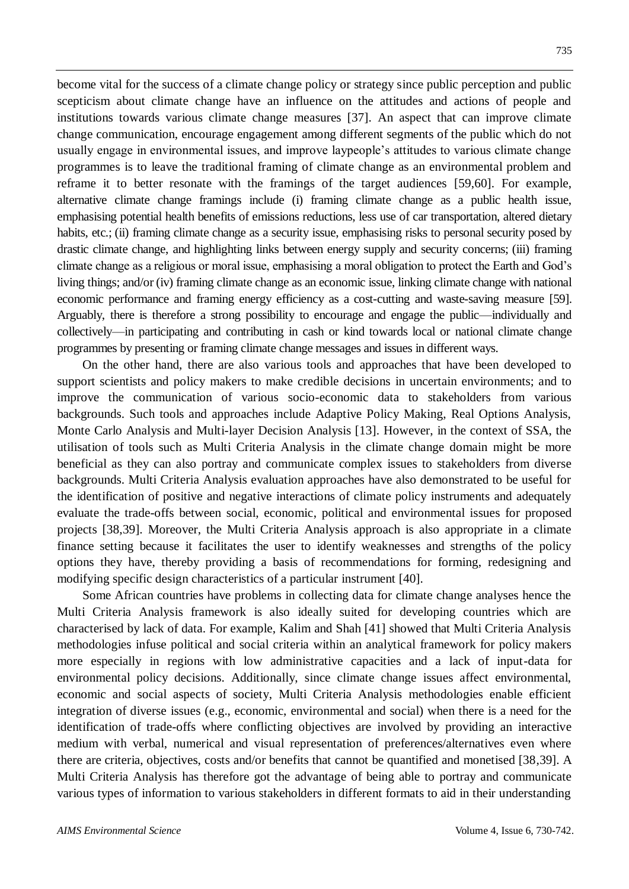become vital for the success of a climate change policy or strategy since public perception and public scepticism about climate change have an influence on the attitudes and actions of people and institutions towards various climate change measures [37]. An aspect that can improve climate change communication, encourage engagement among different segments of the public which do not usually engage in environmental issues, and improve laypeople's attitudes to various climate change programmes is to leave the traditional framing of climate change as an environmental problem and reframe it to better resonate with the framings of the target audiences [59,60]. For example, alternative climate change framings include (i) framing climate change as a public health issue, emphasising potential health benefits of emissions reductions, less use of car transportation, altered dietary habits, etc.; (ii) framing climate change as a security issue, emphasising risks to personal security posed by drastic climate change, and highlighting links between energy supply and security concerns; (iii) framing climate change as a religious or moral issue, emphasising a moral obligation to protect the Earth and God's living things; and/or (iv) framing climate change as an economic issue, linking climate change with national economic performance and framing energy efficiency as a cost-cutting and waste-saving measure [59]. Arguably, there is therefore a strong possibility to encourage and engage the public—individually and collectively—in participating and contributing in cash or kind towards local or national climate change programmes by presenting or framing climate change messages and issues in different ways.

On the other hand, there are also various tools and approaches that have been developed to support scientists and policy makers to make credible decisions in uncertain environments; and to improve the communication of various socio-economic data to stakeholders from various backgrounds. Such tools and approaches include Adaptive Policy Making, Real Options Analysis, Monte Carlo Analysis and Multi-layer Decision Analysis [13]. However, in the context of SSA, the utilisation of tools such as Multi Criteria Analysis in the climate change domain might be more beneficial as they can also portray and communicate complex issues to stakeholders from diverse backgrounds. Multi Criteria Analysis evaluation approaches have also demonstrated to be useful for the identification of positive and negative interactions of climate policy instruments and adequately evaluate the trade-offs between social, economic, political and environmental issues for proposed projects [38,39]. Moreover, the Multi Criteria Analysis approach is also appropriate in a climate finance setting because it facilitates the user to identify weaknesses and strengths of the policy options they have, thereby providing a basis of recommendations for forming, redesigning and modifying specific design characteristics of a particular instrument [40].

Some African countries have problems in collecting data for climate change analyses hence the Multi Criteria Analysis framework is also ideally suited for developing countries which are characterised by lack of data. For example, Kalim and Shah [41] showed that Multi Criteria Analysis methodologies infuse political and social criteria within an analytical framework for policy makers more especially in regions with low administrative capacities and a lack of input-data for environmental policy decisions. Additionally, since climate change issues affect environmental, economic and social aspects of society, Multi Criteria Analysis methodologies enable efficient integration of diverse issues (e.g., economic, environmental and social) when there is a need for the identification of trade-offs where conflicting objectives are involved by providing an interactive medium with verbal, numerical and visual representation of preferences/alternatives even where there are criteria, objectives, costs and/or benefits that cannot be quantified and monetised [38,39]. A Multi Criteria Analysis has therefore got the advantage of being able to portray and communicate various types of information to various stakeholders in different formats to aid in their understanding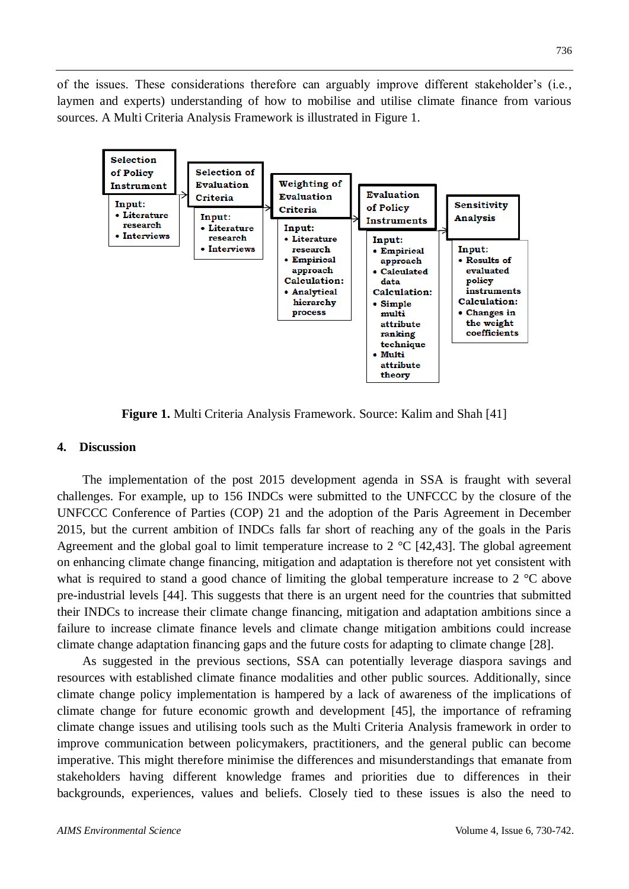of the issues. These considerations therefore can arguably improve different stakeholder's (i.e., laymen and experts) understanding of how to mobilise and utilise climate finance from various sources. A Multi Criteria Analysis Framework is illustrated in Figure 1.



**Figure 1.** Multi Criteria Analysis Framework. Source: Kalim and Shah [41]

#### **4. Discussion**

The implementation of the post 2015 development agenda in SSA is fraught with several challenges. For example, up to 156 INDCs were submitted to the UNFCCC by the closure of the UNFCCC Conference of Parties (COP) 21 and the adoption of the Paris Agreement in December 2015, but the current ambition of INDCs falls far short of reaching any of the goals in the Paris Agreement and the global goal to limit temperature increase to 2 °C [42,43]. The global agreement on enhancing climate change financing, mitigation and adaptation is therefore not yet consistent with what is required to stand a good chance of limiting the global temperature increase to 2 °C above pre-industrial levels [44]. This suggests that there is an urgent need for the countries that submitted their INDCs to increase their climate change financing, mitigation and adaptation ambitions since a failure to increase climate finance levels and climate change mitigation ambitions could increase climate change adaptation financing gaps and the future costs for adapting to climate change [28].

As suggested in the previous sections, SSA can potentially leverage diaspora savings and resources with established climate finance modalities and other public sources. Additionally, since climate change policy implementation is hampered by a lack of awareness of the implications of climate change for future economic growth and development [45], the importance of reframing climate change issues and utilising tools such as the Multi Criteria Analysis framework in order to improve communication between policymakers, practitioners, and the general public can become imperative. This might therefore minimise the differences and misunderstandings that emanate from stakeholders having different knowledge frames and priorities due to differences in their backgrounds, experiences, values and beliefs. Closely tied to these issues is also the need to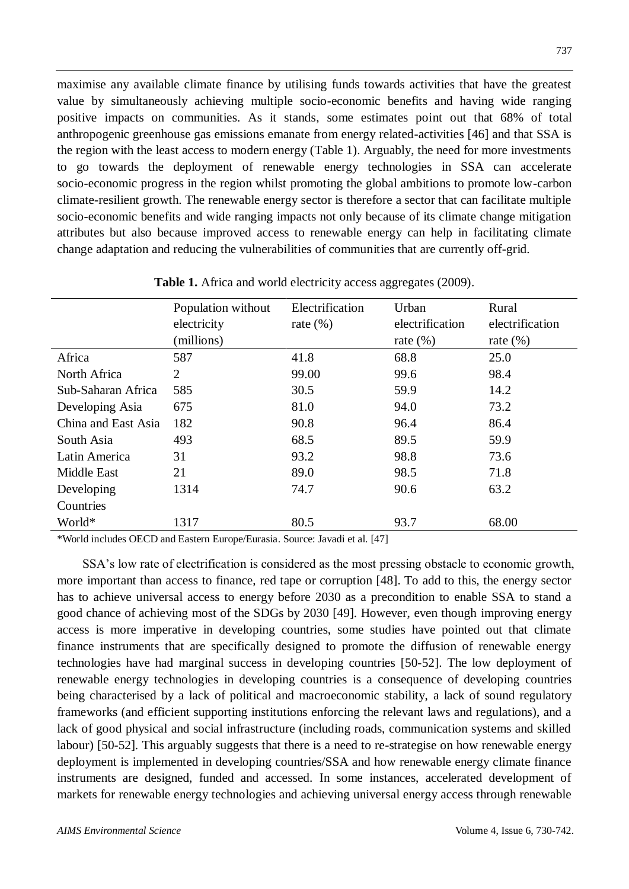maximise any available climate finance by utilising funds towards activities that have the greatest value by simultaneously achieving multiple socio-economic benefits and having wide ranging positive impacts on communities. As it stands, some estimates point out that 68% of total anthropogenic greenhouse gas emissions emanate from energy related-activities [46] and that SSA is the region with the least access to modern energy (Table 1). Arguably, the need for more investments to go towards the deployment of renewable energy technologies in SSA can accelerate socio-economic progress in the region whilst promoting the global ambitions to promote low-carbon climate-resilient growth. The renewable energy sector is therefore a sector that can facilitate multiple socio-economic benefits and wide ranging impacts not only because of its climate change mitigation attributes but also because improved access to renewable energy can help in facilitating climate change adaptation and reducing the vulnerabilities of communities that are currently off-grid.

|                     | Population without | Electrification | Urban           | Rural           |
|---------------------|--------------------|-----------------|-----------------|-----------------|
|                     | electricity        | rate $(\%)$     | electrification | electrification |
|                     | (millions)         |                 | rate $(\%)$     | rate $(\%)$     |
| Africa              | 587                | 41.8            | 68.8            | 25.0            |
| North Africa        | $\overline{2}$     | 99.00           | 99.6            | 98.4            |
| Sub-Saharan Africa  | 585                | 30.5            | 59.9            | 14.2            |
| Developing Asia     | 675                | 81.0            | 94.0            | 73.2            |
| China and East Asia | 182                | 90.8            | 96.4            | 86.4            |
| South Asia          | 493                | 68.5            | 89.5            | 59.9            |
| Latin America       | 31                 | 93.2            | 98.8            | 73.6            |
| Middle East         | 21                 | 89.0            | 98.5            | 71.8            |
| Developing          | 1314               | 74.7            | 90.6            | 63.2            |
| Countries           |                    |                 |                 |                 |
| World*              | 1317               | 80.5            | 93.7            | 68.00           |

**Table 1.** Africa and world electricity access aggregates (2009).

\*World includes OECD and Eastern Europe/Eurasia. Source: Javadi et al. [47]

SSA's low rate of electrification is considered as the most pressing obstacle to economic growth, more important than access to finance, red tape or corruption [48]. To add to this, the energy sector has to achieve universal access to energy before 2030 as a precondition to enable SSA to stand a good chance of achieving most of the SDGs by 2030 [49]. However, even though improving energy access is more imperative in developing countries, some studies have pointed out that climate finance instruments that are specifically designed to promote the diffusion of renewable energy technologies have had marginal success in developing countries [50-52]. The low deployment of renewable energy technologies in developing countries is a consequence of developing countries being characterised by a lack of political and macroeconomic stability, a lack of sound regulatory frameworks (and efficient supporting institutions enforcing the relevant laws and regulations), and a lack of good physical and social infrastructure (including roads, communication systems and skilled labour) [50-52]. This arguably suggests that there is a need to re-strategise on how renewable energy deployment is implemented in developing countries/SSA and how renewable energy climate finance instruments are designed, funded and accessed. In some instances, accelerated development of markets for renewable energy technologies and achieving universal energy access through renewable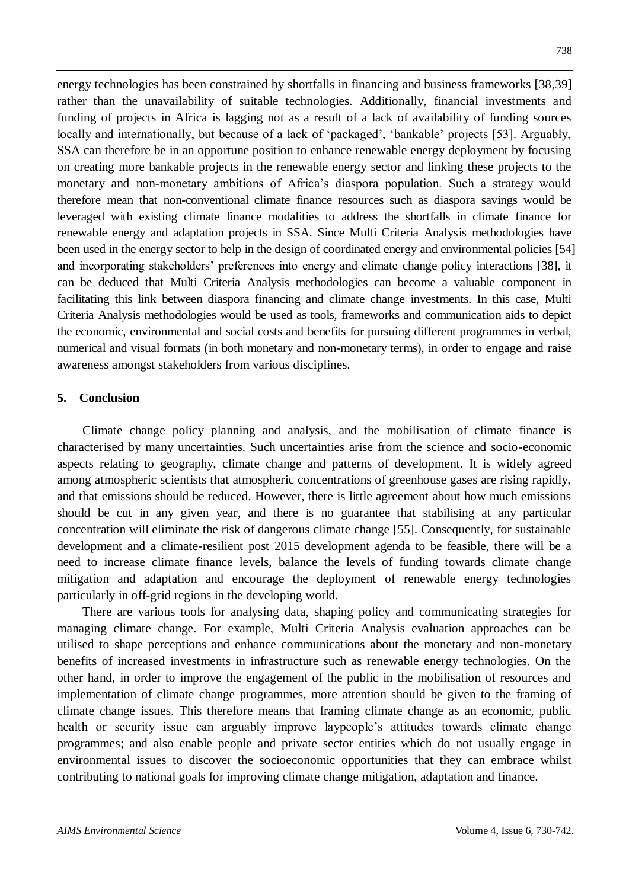energy technologies has been constrained by shortfalls in financing and business frameworks [38,39] rather than the unavailability of suitable technologies. Additionally, financial investments and funding of projects in Africa is lagging not as a result of a lack of availability of funding sources locally and internationally, but because of a lack of 'packaged', 'bankable' projects [53]. Arguably, SSA can therefore be in an opportune position to enhance renewable energy deployment by focusing on creating more bankable projects in the renewable energy sector and linking these projects to the monetary and non-monetary ambitions of Africa's diaspora population. Such a strategy would therefore mean that non-conventional climate finance resources such as diaspora savings would be leveraged with existing climate finance modalities to address the shortfalls in climate finance for renewable energy and adaptation projects in SSA. Since Multi Criteria Analysis methodologies have been used in the energy sector to help in the design of coordinated energy and environmental policies [54] and incorporating stakeholders' preferences into energy and climate change policy interactions [38], it can be deduced that Multi Criteria Analysis methodologies can become a valuable component in facilitating this link between diaspora financing and climate change investments. In this case, Multi Criteria Analysis methodologies would be used as tools, frameworks and communication aids to depict the economic, environmental and social costs and benefits for pursuing different programmes in verbal, numerical and visual formats (in both monetary and non-monetary terms), in order to engage and raise awareness amongst stakeholders from various disciplines.

## **5. Conclusion**

Climate change policy planning and analysis, and the mobilisation of climate finance is characterised by many uncertainties. Such uncertainties arise from the science and socio-economic aspects relating to geography, climate change and patterns of development. It is widely agreed among atmospheric scientists that atmospheric concentrations of greenhouse gases are rising rapidly, and that emissions should be reduced. However, there is little agreement about how much emissions should be cut in any given year, and there is no guarantee that stabilising at any particular concentration will eliminate the risk of dangerous climate change [55]. Consequently, for sustainable development and a climate-resilient post 2015 development agenda to be feasible, there will be a need to increase climate finance levels, balance the levels of funding towards climate change mitigation and adaptation and encourage the deployment of renewable energy technologies particularly in off-grid regions in the developing world.

There are various tools for analysing data, shaping policy and communicating strategies for managing climate change. For example, Multi Criteria Analysis evaluation approaches can be utilised to shape perceptions and enhance communications about the monetary and non-monetary benefits of increased investments in infrastructure such as renewable energy technologies. On the other hand, in order to improve the engagement of the public in the mobilisation of resources and implementation of climate change programmes, more attention should be given to the framing of climate change issues. This therefore means that framing climate change as an economic, public health or security issue can arguably improve laypeople's attitudes towards climate change programmes; and also enable people and private sector entities which do not usually engage in environmental issues to discover the socioeconomic opportunities that they can embrace whilst contributing to national goals for improving climate change mitigation, adaptation and finance.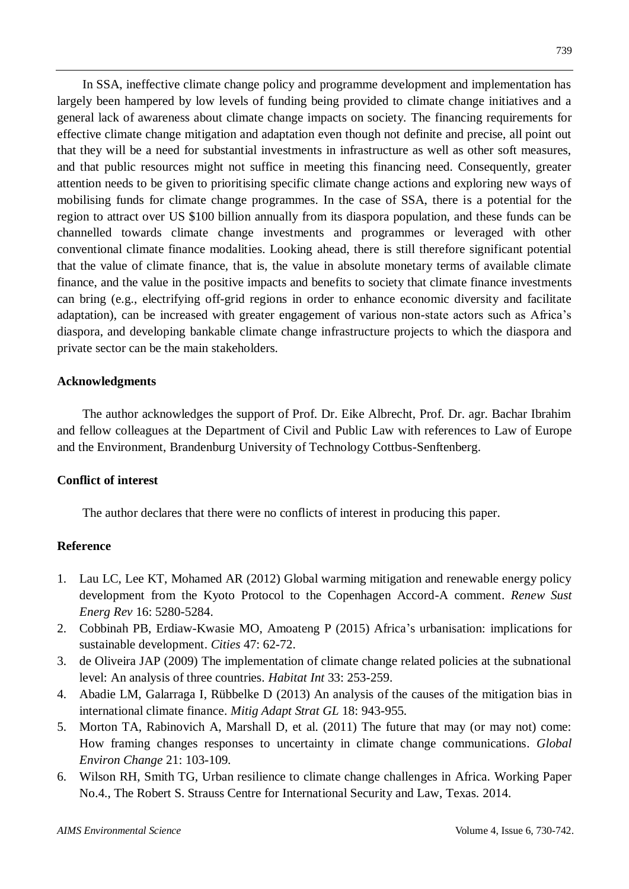In SSA, ineffective climate change policy and programme development and implementation has largely been hampered by low levels of funding being provided to climate change initiatives and a general lack of awareness about climate change impacts on society. The financing requirements for effective climate change mitigation and adaptation even though not definite and precise, all point out that they will be a need for substantial investments in infrastructure as well as other soft measures, and that public resources might not suffice in meeting this financing need. Consequently, greater attention needs to be given to prioritising specific climate change actions and exploring new ways of mobilising funds for climate change programmes. In the case of SSA, there is a potential for the region to attract over US \$100 billion annually from its diaspora population, and these funds can be channelled towards climate change investments and programmes or leveraged with other conventional climate finance modalities. Looking ahead, there is still therefore significant potential that the value of climate finance, that is, the value in absolute monetary terms of available climate finance, and the value in the positive impacts and benefits to society that climate finance investments can bring (e.g., electrifying off-grid regions in order to enhance economic diversity and facilitate adaptation), can be increased with greater engagement of various non-state actors such as Africa's diaspora, and developing bankable climate change infrastructure projects to which the diaspora and private sector can be the main stakeholders.

## **Acknowledgments**

The author acknowledges the support of Prof. Dr. Eike Albrecht, Prof. Dr. agr. Bachar Ibrahim and fellow colleagues at the Department of Civil and Public Law with references to Law of Europe and the Environment, Brandenburg University of Technology Cottbus-Senftenberg.

## **Conflict of interest**

The author declares that there were no conflicts of interest in producing this paper.

## **Reference**

- 1. Lau LC, Lee KT, Mohamed AR (2012) Global warming mitigation and renewable energy policy development from the Kyoto Protocol to the Copenhagen Accord-A comment. *Renew Sust Energ Rev* 16: 5280-5284.
- 2. Cobbinah PB, Erdiaw-Kwasie MO, Amoateng P (2015) Africa's urbanisation: implications for sustainable development. *Cities* 47: 62-72.
- 3. de Oliveira JAP (2009) The implementation of climate change related policies at the subnational level: An analysis of three countries. *Habitat Int* 33: 253-259.
- 4. Abadie LM, Galarraga I, Rübbelke D (2013) An analysis of the causes of the mitigation bias in international climate finance. *[Mitig Adapt Strat GL](https://link.springer.com/journal/11027)* 18: 943-955.
- 5. Morton TA, Rabinovich A, Marshall D, et al. (2011) The future that may (or may not) come: How framing changes responses to uncertainty in climate change communications. *Global Environ Change* 21: 103-109.
- 6. Wilson RH, Smith TG, Urban resilience to climate change challenges in Africa. Working Paper No.4., The Robert S. Strauss Centre for International Security and Law, Texas. 2014.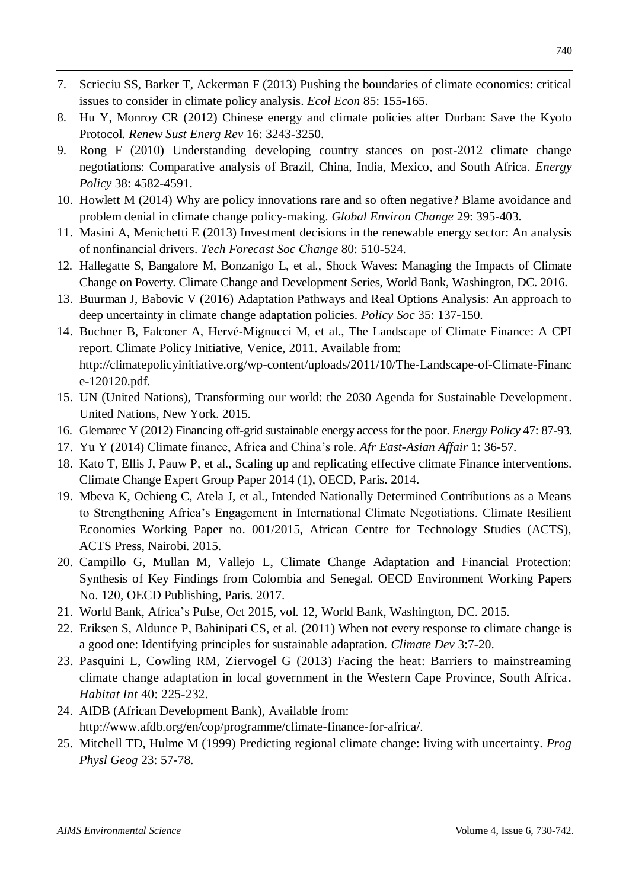- 7. Scrieciu SS, Barker T, Ackerman F (2013) Pushing the boundaries of climate economics: critical issues to consider in climate policy analysis. *Ecol Econ* 85: 155-165.
- 8. Hu Y, Monroy CR (2012) Chinese energy and climate policies after Durban: Save the Kyoto Protocol. *Renew Sust Energ Rev* 16: 3243-3250.
- 9. Rong F (2010) Understanding developing country stances on post-2012 climate change negotiations: Comparative analysis of Brazil, China, India, Mexico, and South Africa. *Energy Policy* 38: 4582-4591.
- 10. Howlett M (2014) Why are policy innovations rare and so often negative? Blame avoidance and problem denial in climate change policy-making. *Global Environ Change* 29: 395-403.
- 11. Masini A, Menichetti E (2013) Investment decisions in the renewable energy sector: An analysis of nonfinancial drivers. *Tech Forecast Soc Change* 80: 510-524.
- 12. Hallegatte S, Bangalore M, Bonzanigo L, et al., Shock Waves: Managing the Impacts of Climate Change on Poverty. Climate Change and Development Series, World Bank, Washington, DC. 2016.
- 13. Buurman J, Babovic V (2016) Adaptation Pathways and Real Options Analysis: An approach to deep uncertainty in climate change adaptation policies. *Policy Soc* 35: 137-150.
- 14. Buchner B, Falconer A, Hervé-Mignucci M, et al., The Landscape of Climate Finance: A CPI report. Climate Policy Initiative, Venice, 2011. Available from: [http://climatepolicyinitiative.org/wp-content/uploads/2011/10/The-Landscape-of-Climate-Financ](http://climatepolicyinitiative.org/wp-content/uploads/2011/10/The-Landscape-of-Climate-Finance-120120.pdf) [e-120120.pdf.](http://climatepolicyinitiative.org/wp-content/uploads/2011/10/The-Landscape-of-Climate-Finance-120120.pdf)
- 15. UN (United Nations), Transforming our world: the 2030 Agenda for Sustainable Development. United Nations, New York. 2015.
- 16. Glemarec Y (2012) Financing off-grid sustainable energy access for the poor. *Energy Policy* 47: 87-93.
- 17. Yu Y (2014) Climate finance, Africa and China's role. *Afr East-Asian Affair* 1: 36-57.
- 18. Kato T, Ellis J, Pauw P, et al., Scaling up and replicating effective climate Finance interventions. Climate Change Expert Group Paper 2014 (1), OECD, Paris. 2014.
- 19. Mbeva K, Ochieng C, Atela J, et al., Intended Nationally Determined Contributions as a Means to Strengthening Africa's Engagement in International Climate Negotiations. Climate Resilient Economies Working Paper no. 001/2015, African Centre for Technology Studies (ACTS), ACTS Press, Nairobi. 2015.
- 20. Campillo G, Mullan M, Vallejo L, Climate Change Adaptation and Financial Protection: Synthesis of Key Findings from Colombia and Senegal. OECD Environment Working Papers No. 120, OECD Publishing, Paris. 2017.
- 21. World Bank, Africa's Pulse, Oct 2015, vol. 12, World Bank, Washington, DC. 2015.
- 22. Eriksen S, Aldunce P, Bahinipati CS, et al. (2011) When not every response to climate change is a good one: Identifying principles for sustainable adaptation. *Climate Dev* 3:7-20.
- 23. Pasquini L, Cowling RM, Ziervogel G (2013) Facing the heat: Barriers to mainstreaming climate change adaptation in local government in the Western Cape Province, South Africa. *Habitat Int* 40: 225-232.
- 24. AfDB (African Development Bank), Available from: [http://www.afdb.org/en/cop/programme/climate-finance-for-africa/.](http://www.afdb.org/en/cop/programme/climate-finance-for-africa/)
- 25. Mitchell TD, Hulme M (1999) Predicting regional climate change: living with uncertainty. *Prog Physl Geog* 23: 57-78.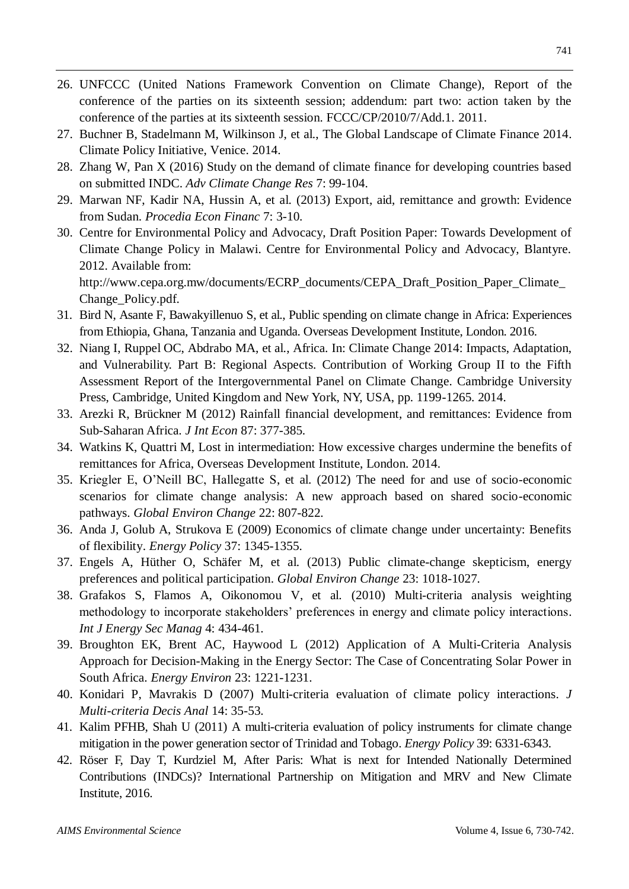- 26. UNFCCC (United Nations Framework Convention on Climate Change), Report of the conference of the parties on its sixteenth session; addendum: part two: action taken by the conference of the parties at its sixteenth session. FCCC/CP/2010/7/Add.1. 2011.
- 27. Buchner B, Stadelmann M, Wilkinson J, et al., The Global Landscape of Climate Finance 2014. Climate Policy Initiative, Venice. 2014.
- 28. Zhang W, Pan X (2016) Study on the demand of climate finance for developing countries based on submitted INDC. *Adv Climate Change Res* 7: 99-104.
- 29. Marwan NF, Kadir NA, Hussin A, et al. (2013) Export, aid, remittance and growth: Evidence from Sudan. *Procedia Econ Financ* 7: 3-10.
- 30. Centre for Environmental Policy and Advocacy, Draft Position Paper: Towards Development of Climate Change Policy in Malawi. Centre for Environmental Policy and Advocacy, Blantyre. 2012. Available from:

http://www.cepa.org.mw/documents/ECRP\_documents/CEPA\_Draft\_Position\_Paper\_Climate\_ Change\_Policy.pdf.

- 31. Bird N, Asante F, Bawakyillenuo S, et al., Public spending on climate change in Africa: Experiences from Ethiopia, Ghana, Tanzania and Uganda. Overseas Development Institute, London. 2016.
- 32. Niang I, Ruppel OC, Abdrabo MA, et al., Africa. In: Climate Change 2014: Impacts, Adaptation, and Vulnerability. Part B: Regional Aspects. Contribution of Working Group II to the Fifth Assessment Report of the Intergovernmental Panel on Climate Change. Cambridge University Press, Cambridge, United Kingdom and New York, NY, USA, pp. 1199-1265. 2014.
- 33. Arezki R, Brückner M (2012) Rainfall financial development, and remittances: Evidence from Sub-Saharan Africa. *J Int Econ* 87: 377-385.
- 34. Watkins K, Quattri M, Lost in intermediation: How excessive charges undermine the benefits of remittances for Africa, Overseas Development Institute, London. 2014.
- 35. Kriegler E, O'Neill BC, Hallegatte S, et al. (2012) The need for and use of socio-economic scenarios for climate change analysis: A new approach based on shared socio-economic pathways. *Global Environ Change* 22: 807-822.
- 36. Anda J, Golub A, Strukova E (2009) Economics of climate change under uncertainty: Benefits of flexibility. *Energy Policy* 37: 1345-1355.
- 37. Engels A, Hüther O, Schäfer M, et al. (2013) Public climate-change skepticism, energy preferences and political participation. *Global Environ Change* 23: 1018-1027.
- 38. Grafakos S, Flamos A, Oikonomou V, et al. (2010) Multi-criteria analysis weighting methodology to incorporate stakeholders' preferences in energy and climate policy interactions. *Int J Energy Sec Manag* 4: 434-461.
- 39. Broughton EK, Brent AC, Haywood L (2012) Application of A Multi-Criteria Analysis Approach for Decision-Making in the Energy Sector: The Case of Concentrating Solar Power in South Africa. *Energy Environ* 23: 1221-1231.
- 40. Konidari P, Mavrakis D (2007) Multi-criteria evaluation of climate policy interactions. *J Multi-criteria Decis Anal* 14: 35-53.
- 41. Kalim PFHB, Shah U (2011) A multi-criteria evaluation of policy instruments for climate change mitigation in the power generation sector of Trinidad and Tobago. *Energy Policy* 39: 6331-6343.
- 42. Röser F, Day T, Kurdziel M, After Paris: What is next for Intended Nationally Determined Contributions (INDCs)? International Partnership on Mitigation and MRV and New Climate Institute, 2016.